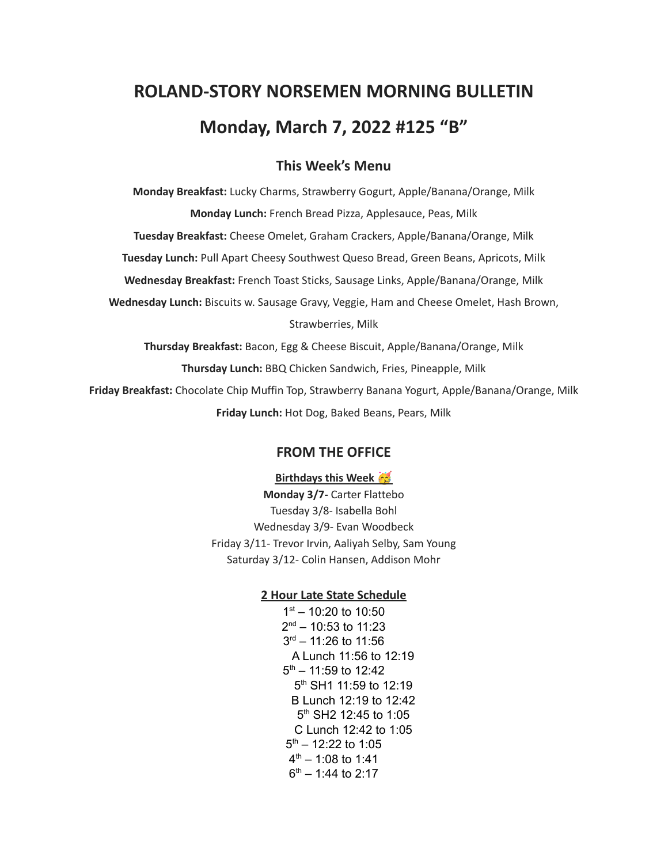# **ROLAND-STORY NORSEMEN MORNING BULLETIN Monday, March 7, 2022 #125 "B"**

# **This Week's Menu**

**Monday Breakfast:** Lucky Charms, Strawberry Gogurt, Apple/Banana/Orange, Milk **Monday Lunch:** French Bread Pizza, Applesauce, Peas, Milk **Tuesday Breakfast:** Cheese Omelet, Graham Crackers, Apple/Banana/Orange, Milk **Tuesday Lunch:** Pull Apart Cheesy Southwest Queso Bread, Green Beans, Apricots, Milk **Wednesday Breakfast:** French Toast Sticks, Sausage Links, Apple/Banana/Orange, Milk **Wednesday Lunch:** Biscuits w. Sausage Gravy, Veggie, Ham and Cheese Omelet, Hash Brown, Strawberries, Milk **Thursday Breakfast:** Bacon, Egg & Cheese Biscuit, Apple/Banana/Orange, Milk

**Thursday Lunch:** BBQ Chicken Sandwich, Fries, Pineapple, Milk

**Friday Breakfast:** Chocolate Chip Muffin Top, Strawberry Banana Yogurt, Apple/Banana/Orange, Milk **Friday Lunch:** Hot Dog, Baked Beans, Pears, Milk

# **FROM THE OFFICE**

#### **Birthdays this Week**

**Monday 3/7-** Carter Flattebo Tuesday 3/8- Isabella Bohl Wednesday 3/9- Evan Woodbeck Friday 3/11- Trevor Irvin, Aaliyah Selby, Sam Young Saturday 3/12- Colin Hansen, Addison Mohr

### **2 Hour Late State Schedule**

 $1<sup>st</sup> - 10:20$  to 10:50 2<sup>nd</sup> – 10:53 to 11:23 3 rd – 11:26 to 11:56 A Lunch 11:56 to 12:19  $5<sup>th</sup> - 11:59$  to 12:42 5<sup>th</sup> SH1 11:59 to 12:19 B Lunch 12:19 to 12:42 5<sup>th</sup> SH2 12:45 to 1:05 C Lunch 12:42 to 1:05  $5<sup>th</sup> - 12:22$  to 1:05  $4<sup>th</sup> - 1:08$  to 1:41  $6<sup>th</sup> - 1:44$  to 2:17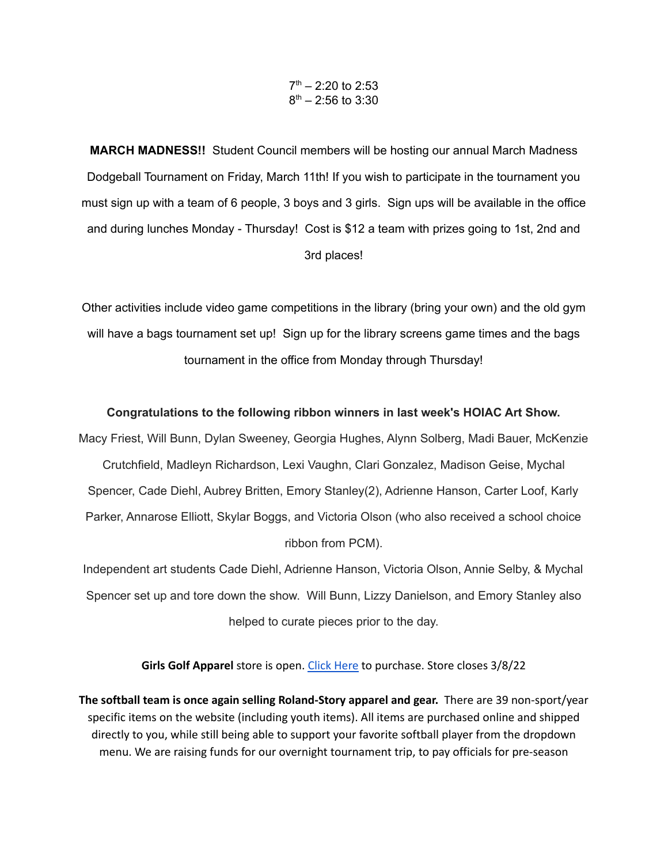#### $7<sup>th</sup> - 2:20$  to 2:53  $8<sup>th</sup> - 2:56$  to 3:30

**MARCH MADNESS!!** Student Council members will be hosting our annual March Madness Dodgeball Tournament on Friday, March 11th! If you wish to participate in the tournament you must sign up with a team of 6 people, 3 boys and 3 girls. Sign ups will be available in the office and during lunches Monday - Thursday! Cost is \$12 a team with prizes going to 1st, 2nd and 3rd places!

Other activities include video game competitions in the library (bring your own) and the old gym will have a bags tournament set up! Sign up for the library screens game times and the bags tournament in the office from Monday through Thursday!

#### **Congratulations to the following ribbon winners in last week's HOIAC Art Show.**

Macy Friest, Will Bunn, Dylan Sweeney, Georgia Hughes, Alynn Solberg, Madi Bauer, McKenzie Crutchfield, Madleyn Richardson, Lexi Vaughn, Clari Gonzalez, Madison Geise, Mychal Spencer, Cade Diehl, Aubrey Britten, Emory Stanley(2), Adrienne Hanson, Carter Loof, Karly Parker, Annarose Elliott, Skylar Boggs, and Victoria Olson (who also received a school choice ribbon from PCM).

Independent art students Cade Diehl, Adrienne Hanson, Victoria Olson, Annie Selby, & Mychal Spencer set up and tore down the show. Will Bunn, Lizzy Danielson, and Emory Stanley also helped to curate pieces prior to the day.

**Girls Golf Apparel** store is open. Click [Here](https://rsgirlsgolf22.itemorder.com/shop/sale/) to purchase. Store closes 3/8/22

**The softball team is once again selling Roland-Story apparel and gear.** There are 39 non-sport/year specific items on the website (including youth items). All items are purchased online and shipped directly to you, while still being able to support your favorite softball player from the dropdown menu. We are raising funds for our overnight tournament trip, to pay officials for pre-season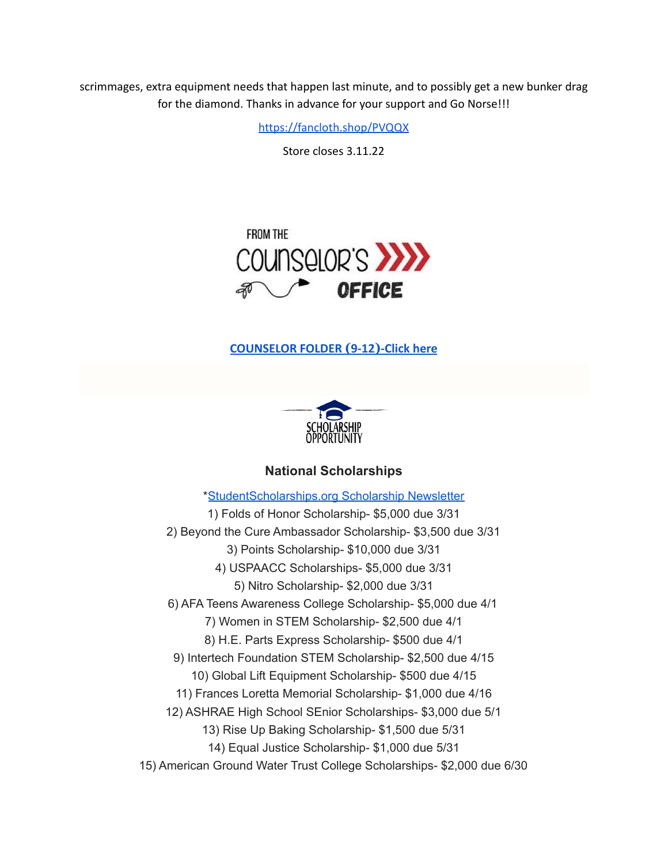scrimmages, extra equipment needs that happen last minute, and to possibly get a new bunker drag for the diamond. Thanks in advance for your support and Go Norse!!!

<https://fancloth.shop/PVQQX>

Store closes 3.11.22



# **[COUNSELOR FOLDER](https://docs.google.com/document/d/1vmwczNPbDzXe9vFaG5LJMQ7NYDv-i4oQJHybqA65TUc/edit?usp=sharing) (9-12)-Click here**



# **National Scholarships**

\*[StudentScholarships.org](https://drive.google.com/file/d/1aKuYCxaIenxt8B4T0eqnsOyNXu4NmKys/view?usp=sharing) Scholarship Newsletter 1) Folds of Honor Scholarship- \$5,000 due 3/31 2) Beyond the Cure Ambassador Scholarship- \$3,500 due 3/31 3) Points Scholarship- \$10,000 due 3/31 4) USPAACC Scholarships- \$5,000 due 3/31 5) Nitro Scholarship- \$2,000 due 3/31 6) AFA Teens Awareness College Scholarship- \$5,000 due 4/1 7) Women in STEM Scholarship- \$2,500 due 4/1 8) H.E. Parts Express Scholarship- \$500 due 4/1 9) Intertech Foundation STEM Scholarship- \$2,500 due 4/15 10) Global Lift Equipment Scholarship- \$500 due 4/15 11) Frances Loretta Memorial Scholarship- \$1,000 due 4/16 12) ASHRAE High School SEnior Scholarships- \$3,000 due 5/1 13) Rise Up Baking Scholarship- \$1,500 due 5/31 14) Equal Justice Scholarship- \$1,000 due 5/31 15) American Ground Water Trust College Scholarships- \$2,000 due 6/30